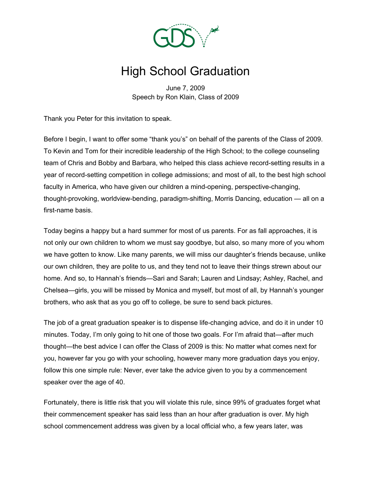

## High School Graduation

June 7, 2009 Speech by Ron Klain, Class of 2009

Thank you Peter for this invitation to speak.

Before I begin, I want to offer some "thank you's" on behalf of the parents of the Class of 2009. To Kevin and Tom for their incredible leadership of the High School; to the college counseling team of Chris and Bobby and Barbara, who helped this class achieve record-setting results in a year of record-setting competition in college admissions; and most of all, to the best high school faculty in America, who have given our children a mind-opening, perspective-changing, thought-provoking, worldview-bending, paradigm-shifting, Morris Dancing, education — all on a first-name basis.

Today begins a happy but a hard summer for most of us parents. For as fall approaches, it is not only our own children to whom we must say goodbye, but also, so many more of you whom we have gotten to know. Like many parents, we will miss our daughter's friends because, unlike our own children, they are polite to us, and they tend not to leave their things strewn about our home. And so, to Hannah's friends—Sari and Sarah; Lauren and Lindsay; Ashley, Rachel, and Chelsea—girls, you will be missed by Monica and myself, but most of all, by Hannah's younger brothers, who ask that as you go off to college, be sure to send back pictures.

The job of a great graduation speaker is to dispense life-changing advice, and do it in under 10 minutes. Today, I'm only going to hit one of those two goals. For I'm afraid that—after much thought—the best advice I can offer the Class of 2009 is this: No matter what comes next for you, however far you go with your schooling, however many more graduation days you enjoy, follow this one simple rule: Never, ever take the advice given to you by a commencement speaker over the age of 40.

Fortunately, there is little risk that you will violate this rule, since 99% of graduates forget what their commencement speaker has said less than an hour after graduation is over. My high school commencement address was given by a local official who, a few years later, was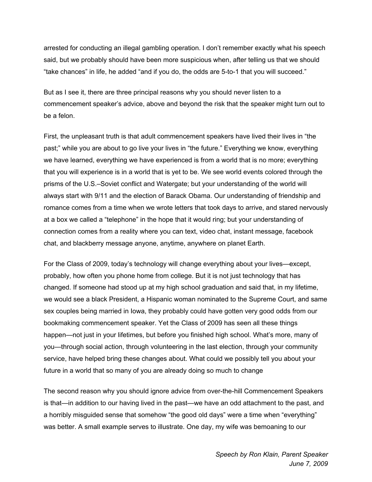arrested for conducting an illegal gambling operation. I don't remember exactly what his speech said, but we probably should have been more suspicious when, after telling us that we should "take chances" in life, he added "and if you do, the odds are 5-to-1 that you will succeed."

But as I see it, there are three principal reasons why you should never listen to a commencement speaker's advice, above and beyond the risk that the speaker might turn out to be a felon.

First, the unpleasant truth is that adult commencement speakers have lived their lives in "the past;" while you are about to go live your lives in "the future." Everything we know, everything we have learned, everything we have experienced is from a world that is no more; everything that you will experience is in a world that is yet to be. We see world events colored through the prisms of the U.S.–Soviet conflict and Watergate; but your understanding of the world will always start with 9/11 and the election of Barack Obama. Our understanding of friendship and romance comes from a time when we wrote letters that took days to arrive, and stared nervously at a box we called a "telephone" in the hope that it would ring; but your understanding of connection comes from a reality where you can text, video chat, instant message, facebook chat, and blackberry message anyone, anytime, anywhere on planet Earth.

For the Class of 2009, today's technology will change everything about your lives—except, probably, how often you phone home from college. But it is not just technology that has changed. If someone had stood up at my high school graduation and said that, in my lifetime, we would see a black President, a Hispanic woman nominated to the Supreme Court, and same sex couples being married in Iowa, they probably could have gotten very good odds from our bookmaking commencement speaker. Yet the Class of 2009 has seen all these things happen—not just in your lifetimes, but before you finished high school. What's more, many of you—through social action, through volunteering in the last election, through your community service, have helped bring these changes about. What could we possibly tell you about your future in a world that so many of you are already doing so much to change

The second reason why you should ignore advice from over-the-hill Commencement Speakers is that—in addition to our having lived in the past—we have an odd attachment to the past, and a horribly misguided sense that somehow "the good old days" were a time when "everything" was better. A small example serves to illustrate. One day, my wife was bemoaning to our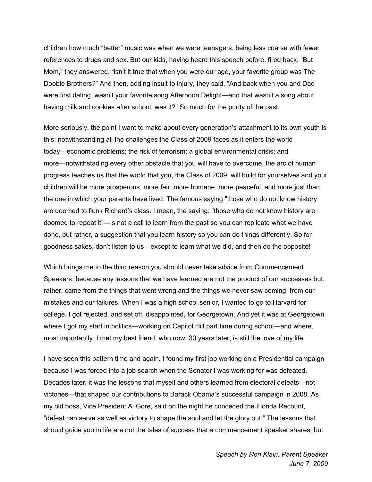children how much "better" music was when we were teenagers, being less coarse with fewer references to drugs and sex. But our kids, having heard this speech before, fired back. "But Mom," they answered, "isn't it true that when you were our age, your favorite group was The Doobie Brothers?" And then, adding insult to injury, they said, "And back when you and Dad were first dating, wasn't your favorite song Afternoon Delight—and that wasn't a song about having milk and cookies after school, was it?" So much for the purity of the past.

More seriously, the point I want to make about every generation's attachment to its own youth is this: notwithstanding all the challenges the Class of 2009 faces as it enters the world today—economic problems; the risk of terrorism; a global environmental crisis; and more—notwithstading every other obstacle that you will have to overcome, the arc of human progress teaches us that the world that you, the Class of 2009, will build for yourselves and your children will be more prosperous, more fair, more humane, more peaceful, and more just than the one in which your parents have lived. The famous saying "those who do not know history are doomed to flunk Richard's class. I mean, the saying: "those who do not know history are doomed to repeat it"—is not a call to learn from the past so you can replicate what we have done, but rather, a suggestion that you learn history so you can do things differently. So for goodness sakes, don't listen to us—except to learn what we did, and then do the opposite!

Which brings me to the third reason you should never take advice from Commencement Speakers: because any lessons that we have learned are not the product of our successes but, rather, came from the things that went wrong and the things we never saw coming, from our mistakes and our failures. When I was a high school senior, I wanted to go to Harvard for college. I got rejected, and set off, disappointed, for Georgetown. And yet it was at Georgetown where I got my start in politics—working on Capitol Hill part time during school—and where, most importantly, I met my best friend, who now, 30 years later, is still the love of my life.

I have seen this pattern time and again. I found my first job working on a Presidential campaign because I was forced into a job search when the Senator I was working for was defeated. Decades later, it was the lessons that myself and others learned from electoral defeats—not victories—that shaped our contributions to Barack Obama's successful campaign in 2008. As my old boss, Vice President Al Gore, said on the night he conceded the Florida Recount, "defeat can serve as well as victory to shape the soul and let the glory out." The lessons that should guide you in life are not the tales of success that a commencement speaker shares, but